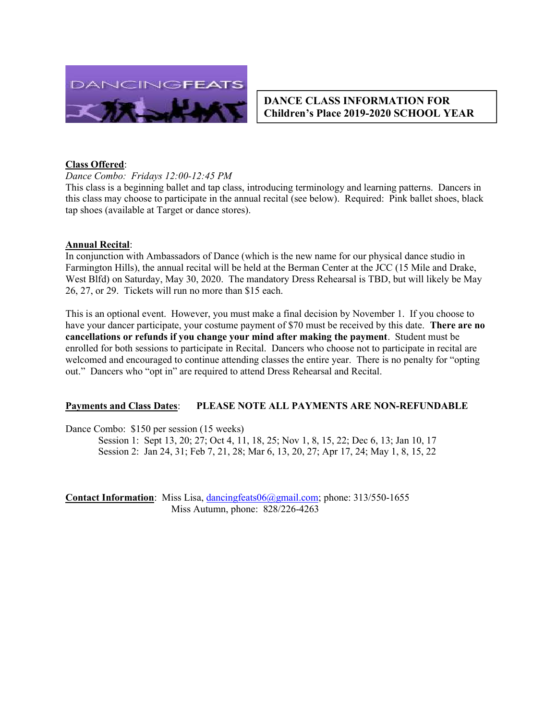

## DANCE CLASS INFORMATION FOR Children's Place 2019-2020 SCHOOL YEAR

### Class Offered:

Dance Combo: Fridays 12:00-12:45 PM

This class is a beginning ballet and tap class, introducing terminology and learning patterns. Dancers in this class may choose to participate in the annual recital (see below). Required: Pink ballet shoes, black tap shoes (available at Target or dance stores).

#### Annual Recital:

In conjunction with Ambassadors of Dance (which is the new name for our physical dance studio in Farmington Hills), the annual recital will be held at the Berman Center at the JCC (15 Mile and Drake, West Blfd) on Saturday, May 30, 2020. The mandatory Dress Rehearsal is TBD, but will likely be May 26, 27, or 29. Tickets will run no more than \$15 each.

This is an optional event. However, you must make a final decision by November 1. If you choose to have your dancer participate, your costume payment of \$70 must be received by this date. **There are no** cancellations or refunds if you change your mind after making the payment. Student must be enrolled for both sessions to participate in Recital. Dancers who choose not to participate in recital are welcomed and encouraged to continue attending classes the entire year. There is no penalty for "opting out." Dancers who "opt in" are required to attend Dress Rehearsal and Recital.

### Payments and Class Dates: PLEASE NOTE ALL PAYMENTS ARE NON-REFUNDABLE

Dance Combo: \$150 per session (15 weeks)

Session 1: Sept 13, 20; 27; Oct 4, 11, 18, 25; Nov 1, 8, 15, 22; Dec 6, 13; Jan 10, 17 Session 2: Jan 24, 31; Feb 7, 21, 28; Mar 6, 13, 20, 27; Apr 17, 24; May 1, 8, 15, 22

Contact Information: Miss Lisa, dancingfeats06@gmail.com; phone: 313/550-1655 Miss Autumn, phone: 828/226-4263